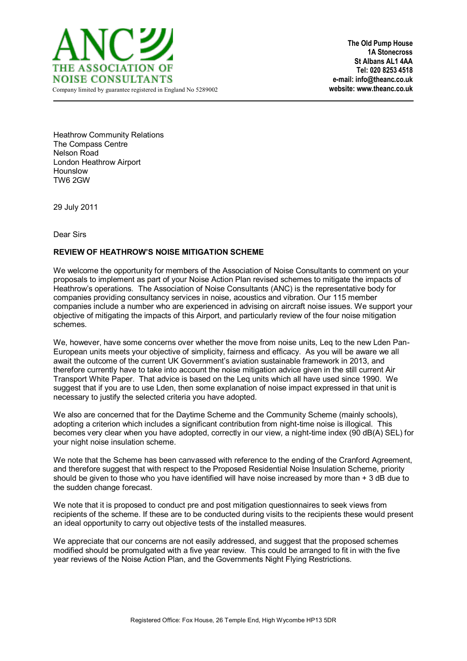

**The Old Pump House 1A Stonecross St Albans AL1 4AA Tel: 020 8253 4518 e-mail: info@theanc.co.uk** 

Heathrow Community Relations The Compass Centre Nelson Road London Heathrow Airport Hounslow TW6 2GW

29 July 2011

Dear Sirs

## **REVIEW OF HEATHROW'S NOISE MITIGATION SCHEME**

We welcome the opportunity for members of the Association of Noise Consultants to comment on your proposals to implement as part of your Noise Action Plan revised schemes to mitigate the impacts of Heathrow's operations. The Association of Noise Consultants (ANC) is the representative body for companies providing consultancy services in noise, acoustics and vibration. Our 115 member companies include a number who are experienced in advising on aircraft noise issues. We support your objective of mitigating the impacts of this Airport, and particularly review of the four noise mitigation schemes.

We, however, have some concerns over whether the move from noise units, Leq to the new Lden Pan-European units meets your objective of simplicity, fairness and efficacy. As you will be aware we all await the outcome of the current UK Government's aviation sustainable framework in 2013, and therefore currently have to take into account the noise mitigation advice given in the still current Air Transport White Paper. That advice is based on the Leq units which all have used since 1990. We suggest that if you are to use Lden, then some explanation of noise impact expressed in that unit is necessary to justify the selected criteria you have adopted.

We also are concerned that for the Daytime Scheme and the Community Scheme (mainly schools), adopting a criterion which includes a significant contribution from night-time noise is illogical. This becomes very clear when you have adopted, correctly in our view, a night-time index (90 dB(A) SEL) for your night noise insulation scheme.

We note that the Scheme has been canvassed with reference to the ending of the Cranford Agreement. and therefore suggest that with respect to the Proposed Residential Noise Insulation Scheme, priority should be given to those who you have identified will have noise increased by more than + 3 dB due to the sudden change forecast.

We note that it is proposed to conduct pre and post mitigation questionnaires to seek views from recipients of the scheme. If these are to be conducted during visits to the recipients these would present an ideal opportunity to carry out objective tests of the installed measures.

We appreciate that our concerns are not easily addressed, and suggest that the proposed schemes modified should be promulgated with a five year review. This could be arranged to fit in with the five year reviews of the Noise Action Plan, and the Governments Night Flying Restrictions.